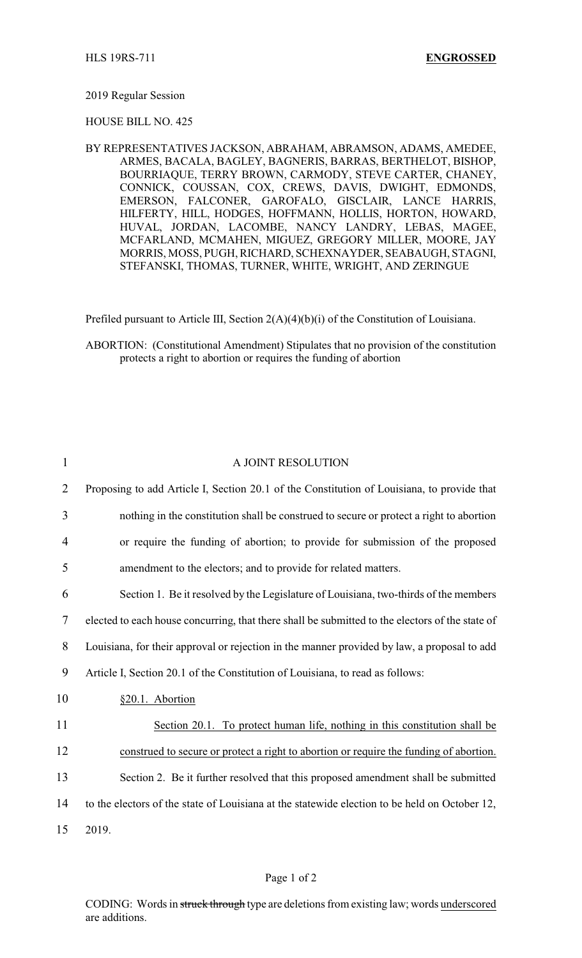## 2019 Regular Session

## HOUSE BILL NO. 425

BY REPRESENTATIVES JACKSON, ABRAHAM, ABRAMSON, ADAMS, AMEDEE, ARMES, BACALA, BAGLEY, BAGNERIS, BARRAS, BERTHELOT, BISHOP, BOURRIAQUE, TERRY BROWN, CARMODY, STEVE CARTER, CHANEY, CONNICK, COUSSAN, COX, CREWS, DAVIS, DWIGHT, EDMONDS, EMERSON, FALCONER, GAROFALO, GISCLAIR, LANCE HARRIS, HILFERTY, HILL, HODGES, HOFFMANN, HOLLIS, HORTON, HOWARD, HUVAL, JORDAN, LACOMBE, NANCY LANDRY, LEBAS, MAGEE, MCFARLAND, MCMAHEN, MIGUEZ, GREGORY MILLER, MOORE, JAY MORRIS, MOSS, PUGH, RICHARD, SCHEXNAYDER, SEABAUGH, STAGNI, STEFANSKI, THOMAS, TURNER, WHITE, WRIGHT, AND ZERINGUE

Prefiled pursuant to Article III, Section 2(A)(4)(b)(i) of the Constitution of Louisiana.

ABORTION: (Constitutional Amendment) Stipulates that no provision of the constitution protects a right to abortion or requires the funding of abortion

| 1              | A JOINT RESOLUTION                                                                              |
|----------------|-------------------------------------------------------------------------------------------------|
| $\overline{2}$ | Proposing to add Article I, Section 20.1 of the Constitution of Louisiana, to provide that      |
| 3              | nothing in the constitution shall be construed to secure or protect a right to abortion         |
| $\overline{4}$ | or require the funding of abortion; to provide for submission of the proposed                   |
| 5              | amendment to the electors; and to provide for related matters.                                  |
| 6              | Section 1. Be it resolved by the Legislature of Louisiana, two-thirds of the members            |
| 7              | elected to each house concurring, that there shall be submitted to the electors of the state of |
| 8              | Louisiana, for their approval or rejection in the manner provided by law, a proposal to add     |
| 9              | Article I, Section 20.1 of the Constitution of Louisiana, to read as follows:                   |
| 10             | §20.1. Abortion                                                                                 |
| 11             | Section 20.1. To protect human life, nothing in this constitution shall be                      |
| 12             | construed to secure or protect a right to abortion or require the funding of abortion.          |
| 13             | Section 2. Be it further resolved that this proposed amendment shall be submitted               |
| 14             | to the electors of the state of Louisiana at the statewide election to be held on October 12,   |
| 15             | 2019.                                                                                           |

## Page 1 of 2

CODING: Words in struck through type are deletions from existing law; words underscored are additions.